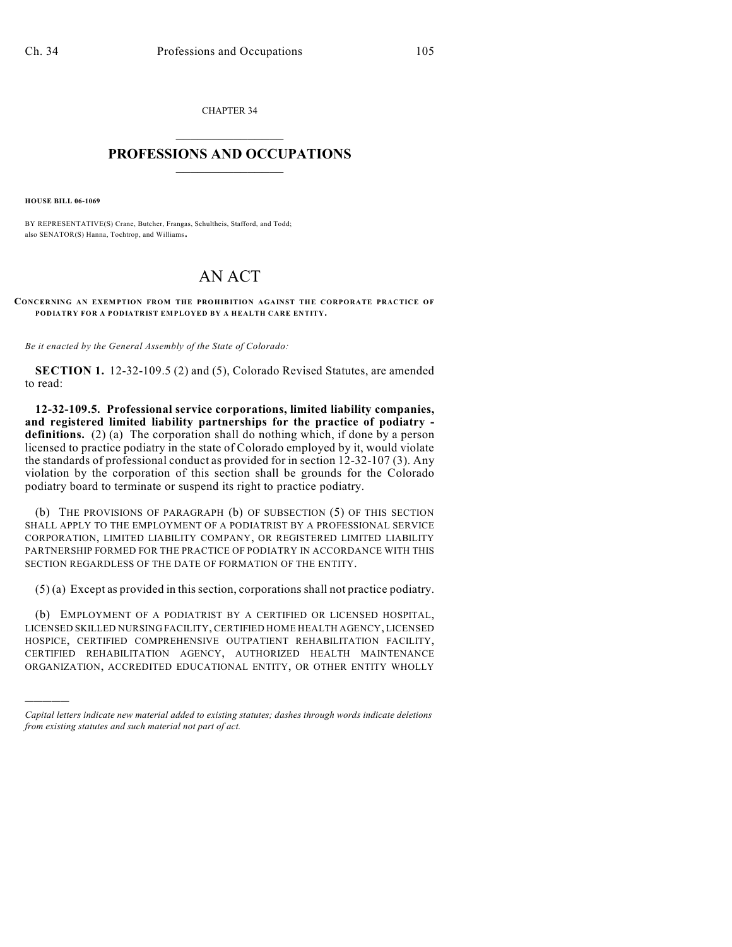CHAPTER 34  $\overline{\phantom{a}}$  . The set of the set of the set of the set of the set of the set of the set of the set of the set of the set of the set of the set of the set of the set of the set of the set of the set of the set of the set o

## **PROFESSIONS AND OCCUPATIONS**  $\frac{1}{2}$  ,  $\frac{1}{2}$  ,  $\frac{1}{2}$  ,  $\frac{1}{2}$  ,  $\frac{1}{2}$  ,  $\frac{1}{2}$

**HOUSE BILL 06-1069**

)))))

BY REPRESENTATIVE(S) Crane, Butcher, Frangas, Schultheis, Stafford, and Todd; also SENATOR(S) Hanna, Tochtrop, and Williams.

## AN ACT

## **CONCERNING AN EXEMPTION FROM THE PROHIBITION AGAINST THE CORPORATE PRACTICE OF PODIATRY FOR A PODIATRIST EMPLOYED BY A HEALTH CARE ENTITY.**

*Be it enacted by the General Assembly of the State of Colorado:*

**SECTION 1.** 12-32-109.5 (2) and (5), Colorado Revised Statutes, are amended to read:

**12-32-109.5. Professional service corporations, limited liability companies, and registered limited liability partnerships for the practice of podiatry definitions.** (2) (a) The corporation shall do nothing which, if done by a person licensed to practice podiatry in the state of Colorado employed by it, would violate the standards of professional conduct as provided for in section 12-32-107 (3). Any violation by the corporation of this section shall be grounds for the Colorado podiatry board to terminate or suspend its right to practice podiatry.

(b) THE PROVISIONS OF PARAGRAPH (b) OF SUBSECTION (5) OF THIS SECTION SHALL APPLY TO THE EMPLOYMENT OF A PODIATRIST BY A PROFESSIONAL SERVICE CORPORATION, LIMITED LIABILITY COMPANY, OR REGISTERED LIMITED LIABILITY PARTNERSHIP FORMED FOR THE PRACTICE OF PODIATRY IN ACCORDANCE WITH THIS SECTION REGARDLESS OF THE DATE OF FORMATION OF THE ENTITY.

(5) (a) Except as provided in thissection, corporations shall not practice podiatry.

(b) EMPLOYMENT OF A PODIATRIST BY A CERTIFIED OR LICENSED HOSPITAL, LICENSED SKILLED NURSING FACILITY, CERTIFIED HOME HEALTH AGENCY, LICENSED HOSPICE, CERTIFIED COMPREHENSIVE OUTPATIENT REHABILITATION FACILITY, CERTIFIED REHABILITATION AGENCY, AUTHORIZED HEALTH MAINTENANCE ORGANIZATION, ACCREDITED EDUCATIONAL ENTITY, OR OTHER ENTITY WHOLLY

*Capital letters indicate new material added to existing statutes; dashes through words indicate deletions from existing statutes and such material not part of act.*